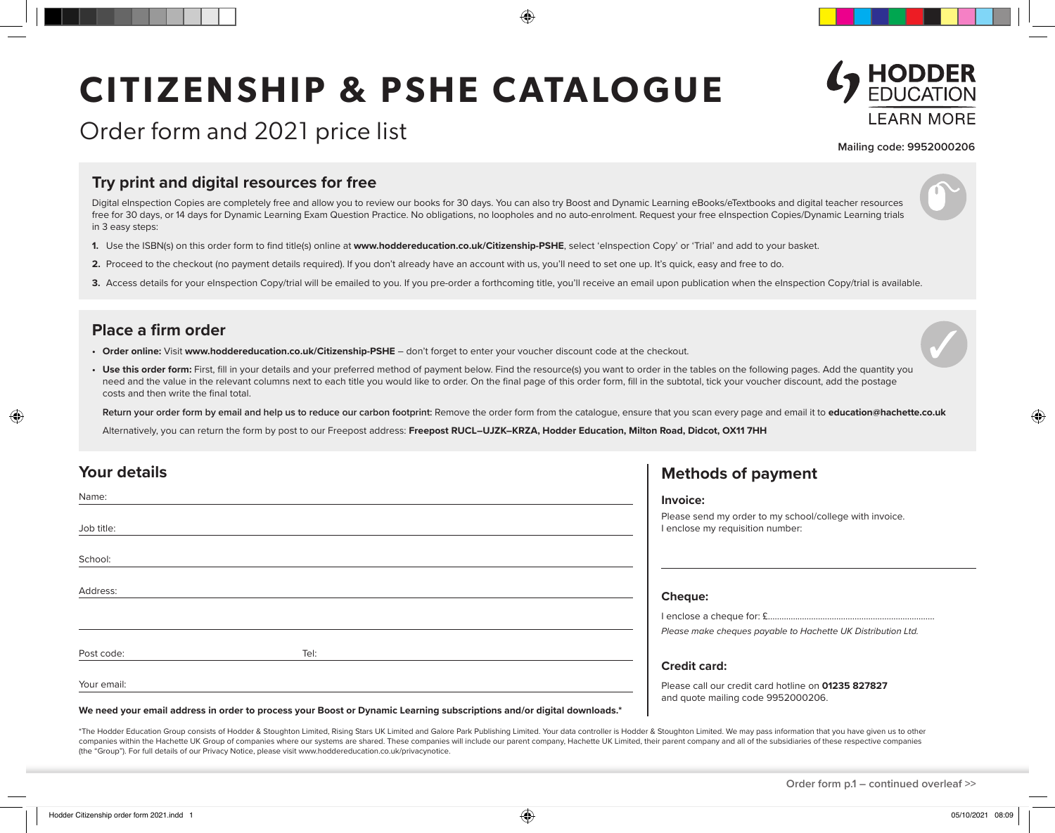# **CITIZENSHIP & PSHE CATALOGUE**

### Order form and 2021 price list



#### **Mailing code: 9952000206**

#### **Try print and digital resources for free**

Digital eInspection Copies are completely free and allow you to review our books for 30 days. You can also try Boost and Dynamic Learning eBooks/eTextbooks and digital teacher resources free for 30 days, or 14 days for Dynamic Learning Exam Question Practice. No obligations, no loopholes and no auto-enrolment. Request your free eInspection Copies/Dynamic Learning trials in 3 easy steps:

€

- **1.** Use the ISBN(s) on this order form to find title(s) online at **www.hoddereducation.co.uk/Citizenship-PSHE**, select 'eInspection Copy' or 'Trial' and add to your basket.
- **2.** Proceed to the checkout (no payment details required). If you don't already have an account with us, you'll need to set one up. It's quick, easy and free to do.
- 3. Access details for your eInspection Copy/trial will be emailed to you. If you pre-order a forthcoming title, you'll receive an email upon publication when the eInspection Copy/trial is available.

#### **Place a firm order**

- **• Order online:** Visit **www.hoddereducation.co.uk/Citizenship-PSHE** don't forget to enter your voucher discount code at the checkout.
- Use this order form: First, fill in your details and your preferred method of payment below. Find the resource(s) you want to order in the tables on the following pages. Add the quantity you need and the value in the relevant columns next to each title you would like to order. On the final page of this order form, fill in the subtotal, tick your voucher discount, add the postage costs and then write the final total.

**Return your order form by email and help us to reduce our carbon footprint:** Remove the order form from the catalogue, ensure that you scan every page and email it to **education@hachette.co.uk**

Alternatively, you can return the form by post to our Freepost address: Freepost RUCL-UJZK-KRZA, Hodder Education, Milton Road, Didcot, OX11 7HH

| <b>Your details</b>                                                                                                    | <b>Methods of payment</b>                                                                   |
|------------------------------------------------------------------------------------------------------------------------|---------------------------------------------------------------------------------------------|
| Name:                                                                                                                  | Invoice:                                                                                    |
| Job title:                                                                                                             | Please send my order to my school/college with invoice.<br>I enclose my requisition number: |
| School:                                                                                                                |                                                                                             |
| Address:                                                                                                               | <b>Cheque:</b>                                                                              |
|                                                                                                                        |                                                                                             |
|                                                                                                                        | Please make cheques payable to Hachette UK Distribution Ltd.                                |
| Tel:<br>Post code:                                                                                                     |                                                                                             |
|                                                                                                                        | <b>Credit card:</b>                                                                         |
| Your email:                                                                                                            | Please call our credit card hotline on 01235 827827<br>and quote mailing code 9952000206.   |
| We need your email address in order to process your Boost or Dynamic Learning subscriptions and/or digital downloads.* |                                                                                             |

\*The Hodder Education Group consists of Hodder & Stoughton Limited, Rising Stars UK Limited and Galore Park Publishing Limited. Your data controller is Hodder & Stoughton Limited. We may pass information that you have give companies within the Hachette UK Group of companies where our systems are shared. These companies will include our parent company, Hachette UK Limited, their parent company and all of the subsidiaries of these respective c (the "Group"). For full details of our Privacy Notice, please visit www.hoddereducation.co.uk/privacynotice.

**Order form p.1 – continued overleaf >>**

◈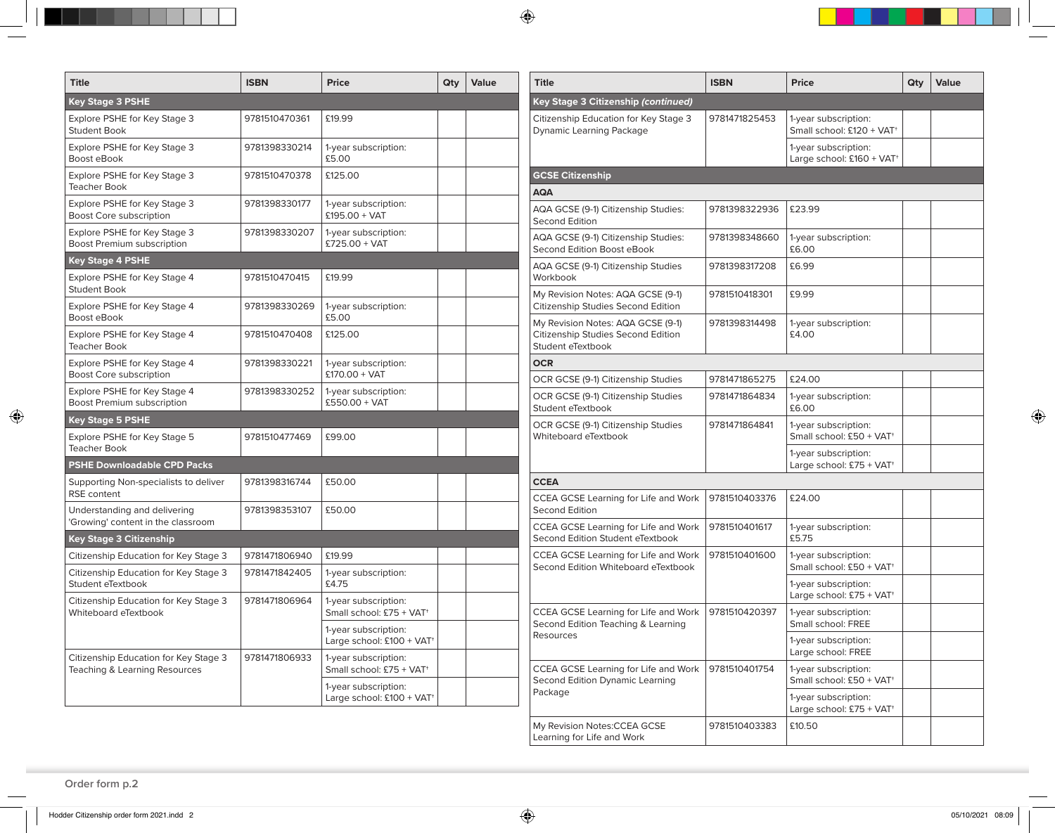| <b>Title</b>                                                           | <b>ISBN</b>   | Price                                                         | Qty | Value |
|------------------------------------------------------------------------|---------------|---------------------------------------------------------------|-----|-------|
| <b>Key Stage 3 PSHE</b>                                                |               |                                                               |     |       |
| Explore PSHE for Key Stage 3<br><b>Student Book</b>                    | 9781510470361 | £19.99                                                        |     |       |
| Explore PSHE for Key Stage 3<br>Boost eBook                            | 9781398330214 | 1-year subscription:<br>£5.00                                 |     |       |
| Explore PSHE for Key Stage 3<br><b>Teacher Book</b>                    | 9781510470378 | £125.00                                                       |     |       |
| Explore PSHE for Key Stage 3<br>Boost Core subscription                | 9781398330177 | 1-year subscription:<br>$£195.00 + VAT$                       |     |       |
| Explore PSHE for Key Stage 3<br>Boost Premium subscription             | 9781398330207 | 1-year subscription:<br>£725.00 + VAT                         |     |       |
| <b>Key Stage 4 PSHE</b>                                                |               |                                                               |     |       |
| Explore PSHE for Key Stage 4<br><b>Student Book</b>                    | 9781510470415 | £19.99                                                        |     |       |
| Explore PSHE for Key Stage 4<br>Boost eBook                            | 9781398330269 | 1-year subscription:<br>£5.00                                 |     |       |
| Explore PSHE for Key Stage 4<br><b>Teacher Book</b>                    | 9781510470408 | £125.00                                                       |     |       |
| Explore PSHE for Key Stage 4<br><b>Boost Core subscription</b>         | 9781398330221 | 1-year subscription:<br>$£170.00 + VAT$                       |     |       |
| Explore PSHE for Key Stage 4<br>Boost Premium subscription             | 9781398330252 | 1-year subscription:<br>$£550.00 + VAT$                       |     |       |
| <b>Key Stage 5 PSHE</b>                                                |               |                                                               |     |       |
| Explore PSHE for Key Stage 5<br><b>Teacher Book</b>                    | 9781510477469 | £99.00                                                        |     |       |
| <b>PSHE Downloadable CPD Packs</b>                                     |               |                                                               |     |       |
| Supporting Non-specialists to deliver<br><b>RSE</b> content            | 9781398316744 | £50.00                                                        |     |       |
| Understanding and delivering<br>'Growing' content in the classroom     | 9781398353107 | £50.00                                                        |     |       |
| <b>Key Stage 3 Citizenship</b>                                         |               |                                                               |     |       |
| Citizenship Education for Key Stage 3                                  | 9781471806940 | £19.99                                                        |     |       |
| Citizenship Education for Key Stage 3<br>Student eTextbook             | 9781471842405 | 1-year subscription:<br>£4.75                                 |     |       |
| Citizenship Education for Key Stage 3<br>Whiteboard eTextbook          | 9781471806964 | 1-year subscription:<br>Small school: £75 + VAT <sup>+</sup>  |     |       |
|                                                                        |               | 1-year subscription:<br>Large school: £100 + VAT <sup>+</sup> |     |       |
| Citizenship Education for Key Stage 3<br>Teaching & Learning Resources | 9781471806933 | 1-year subscription:<br>Small school: £75 + VAT+              |     |       |
|                                                                        |               | 1-year subscription:<br>Large school: £100 + VAT <sup>+</sup> |     |       |

| <b>Title</b>                                                                                 | <b>ISBN</b>   | Price                                                         | Qty | Value |
|----------------------------------------------------------------------------------------------|---------------|---------------------------------------------------------------|-----|-------|
| Key Stage 3 Citizenship (continued)                                                          |               |                                                               |     |       |
| Citizenship Education for Key Stage 3<br><b>Dynamic Learning Package</b>                     | 9781471825453 | 1-year subscription:<br>Small school: £120 + VAT <sup>+</sup> |     |       |
|                                                                                              |               | 1-year subscription:<br>Large school: £160 + VAT <sup>+</sup> |     |       |
| <b>GCSE Citizenship</b>                                                                      |               |                                                               |     |       |
| AQA                                                                                          |               |                                                               |     |       |
| AQA GCSE (9-1) Citizenship Studies:<br><b>Second Edition</b>                                 | 9781398322936 | £23.99                                                        |     |       |
| AQA GCSE (9-1) Citizenship Studies:<br>Second Edition Boost eBook                            | 9781398348660 | 1-year subscription:<br>£6.00                                 |     |       |
| AQA GCSE (9-1) Citizenship Studies<br>Workbook                                               | 9781398317208 | £6.99                                                         |     |       |
| My Revision Notes: AQA GCSE (9-1)<br>Citizenship Studies Second Edition                      | 9781510418301 | £9.99                                                         |     |       |
| My Revision Notes: AQA GCSE (9-1)<br>Citizenship Studies Second Edition<br>Student eTextbook | 9781398314498 | 1-year subscription:<br>£4.00                                 |     |       |
| <b>OCR</b>                                                                                   |               |                                                               |     |       |
| OCR GCSE (9-1) Citizenship Studies                                                           | 9781471865275 | £24.00                                                        |     |       |
| OCR GCSE (9-1) Citizenship Studies<br>Student eTextbook                                      | 9781471864834 | 1-year subscription:<br>£6.00                                 |     |       |
| OCR GCSE (9-1) Citizenship Studies<br>Whiteboard eTextbook                                   | 9781471864841 | 1-year subscription:<br>Small school: £50 + VAT <sup>+</sup>  |     |       |
|                                                                                              |               | 1-year subscription:<br>Large school: £75 + VAT <sup>+</sup>  |     |       |
| <b>CCEA</b>                                                                                  |               |                                                               |     |       |
| CCEA GCSE Learning for Life and Work<br><b>Second Edition</b>                                | 9781510403376 | £24.00                                                        |     |       |
| CCEA GCSE Learning for Life and Work<br>Second Edition Student eTextbook                     | 9781510401617 | 1-year subscription:<br>£5.75                                 |     |       |
| CCEA GCSE Learning for Life and Work<br>Second Edition Whiteboard eTextbook                  | 9781510401600 | 1-year subscription:<br>Small school: £50 + VAT <sup>+</sup>  |     |       |
|                                                                                              |               | 1-year subscription:<br>Large school: £75 + VAT <sup>+</sup>  |     |       |
| CCEA GCSE Learning for Life and Work<br>Second Edition Teaching & Learning                   | 9781510420397 | 1-year subscription:<br>Small school: FREE                    |     |       |
| Resources                                                                                    |               | 1-year subscription:<br>Large school: FREE                    |     |       |
| CCEA GCSE Learning for Life and Work<br>Second Edition Dynamic Learning                      | 9781510401754 | 1-year subscription:<br>Small school: £50 + VAT <sup>+</sup>  |     |       |
| Package                                                                                      |               | 1-year subscription:<br>Large school: £75 + VAT+              |     |       |
| My Revision Notes: CCEA GCSE<br>Learning for Life and Work                                   | 9781510403383 | £10.50                                                        |     |       |

 $\bigoplus$ 

 $\bigoplus$ 

 $\bigoplus$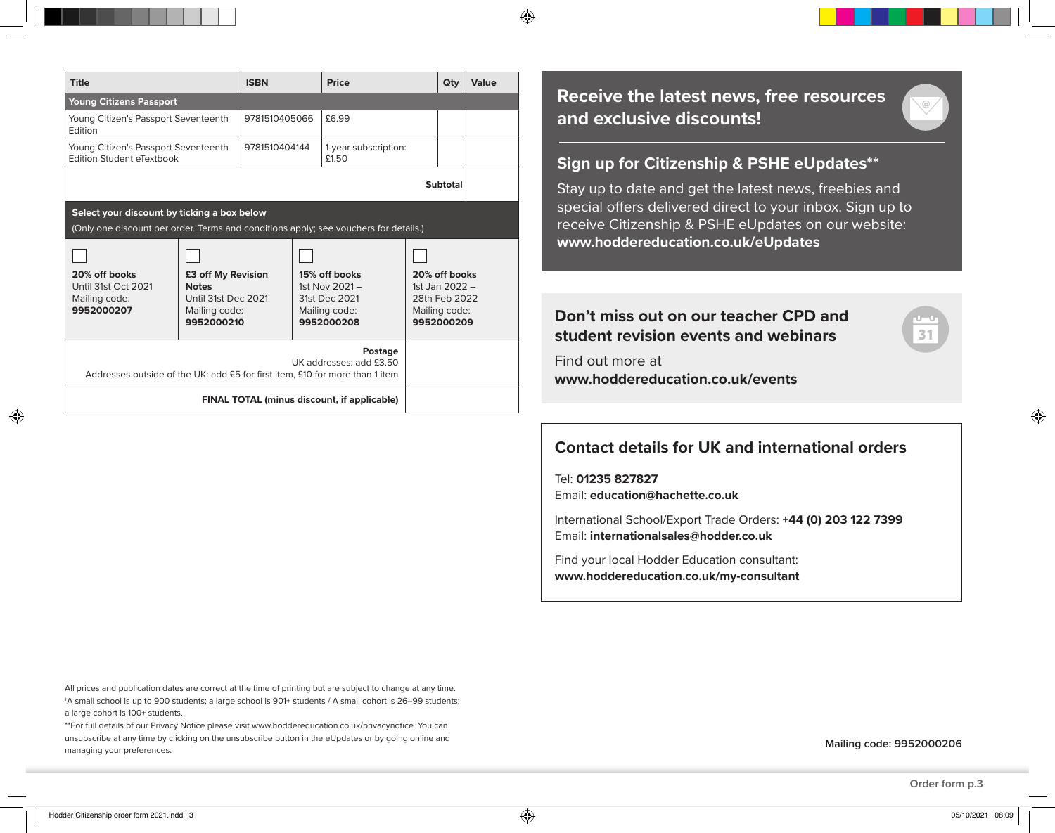$\bigoplus$ 

| <b>Title</b>                                                                                                                        |                                                                                          | <b>ISBN</b>   |  | <b>Price</b>                                                                      |  | Qty                                                                               | Value |
|-------------------------------------------------------------------------------------------------------------------------------------|------------------------------------------------------------------------------------------|---------------|--|-----------------------------------------------------------------------------------|--|-----------------------------------------------------------------------------------|-------|
| <b>Young Citizens Passport</b>                                                                                                      |                                                                                          |               |  |                                                                                   |  |                                                                                   |       |
| Young Citizen's Passport Seventeenth<br>Edition                                                                                     |                                                                                          | 9781510405066 |  | £6.99                                                                             |  |                                                                                   |       |
| Young Citizen's Passport Seventeenth<br>Edition Student eTextbook                                                                   |                                                                                          | 9781510404144 |  | 1-year subscription:<br>£1.50                                                     |  |                                                                                   |       |
|                                                                                                                                     |                                                                                          |               |  |                                                                                   |  | Subtotal                                                                          |       |
| Select your discount by ticking a box below<br>(Only one discount per order. Terms and conditions apply; see vouchers for details.) |                                                                                          |               |  |                                                                                   |  |                                                                                   |       |
| 20% off books<br>Until 31st Oct 2021<br>Mailing code:<br>9952000207                                                                 | £3 off My Revision<br><b>Notes</b><br>Until 31st Dec 2021<br>Mailing code:<br>9952000210 |               |  | 15% off books<br>1st Nov $2021 -$<br>31st Dec 2021<br>Mailing code:<br>9952000208 |  | 20% off books<br>1st Jan $2022 -$<br>28th Feb 2022<br>Mailing code:<br>9952000209 |       |
| Addresses outside of the UK: add £5 for first item, £10 for more than 1 item                                                        |                                                                                          |               |  | Postage<br>UK addresses: add £3.50                                                |  |                                                                                   |       |
|                                                                                                                                     |                                                                                          |               |  | <b>FINAL TOTAL (minus discount, if applicable)</b>                                |  |                                                                                   |       |

⊕

### **Receive the latest news, free resources and exclusive discounts!**

#### **Sign up for Citizenship & PSHE eUpdates\*\***

Stay up to date and get the latest news, freebies and special offers delivered direct to your inbox. Sign up to receive Citizenship & PSHE eUpdates on our website: **www.hoddereducation.co.uk/eUpdates**

#### **Don't miss out on our teacher CPD and student revision events and webinars**

Find out more at **www.hoddereducation.co.uk/events**



Tel: **01235 827827** Email: **education@hachette.co.uk**

International School/Export Trade Orders: **+44 (0) 203 122 7399**  Email: **internationalsales@hodder.co.uk**

Find your local Hodder Education consultant: **www.hoddereducation.co.uk/my-consultant**

All prices and publication dates are correct at the time of printing but are subject to change at any time. †A small school is up to 900 students; a large school is 901+ students / A small cohort is 26–99 students; a large cohort is 100+ students.

\*\*For full details of our Privacy Notice please visit www.hoddereducation.co.uk/privacynotice. You can unsubscribe at any time by clicking on the unsubscribe button in the eUpdates or by going online and managing your preferences.

**Mailing code: 9952000206**

◈